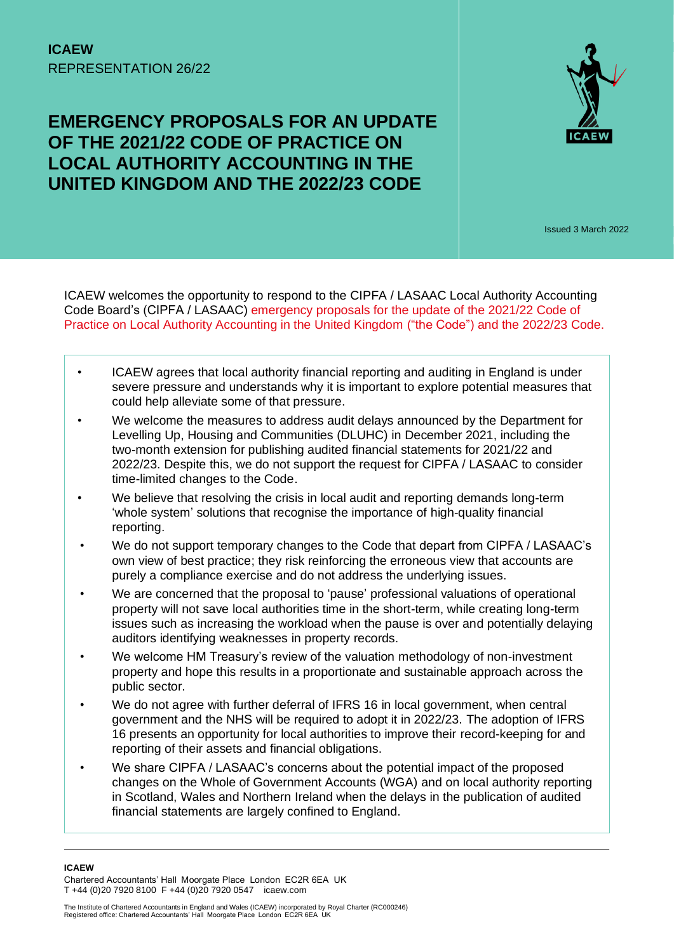# **EMERGENCY PROPOSALS FOR AN UPDATE OF THE 2021/22 CODE OF PRACTICE ON LOCAL AUTHORITY ACCOUNTING IN THE UNITED KINGDOM AND THE 2022/23 CODE**



Issued 3 March 2022

ICAEW welcomes the opportunity to respond to the CIPFA / LASAAC Local Authority Accounting Code Board's (CIPFA / LASAAC) [emergency proposals for the update of the 2021/22 Code of](https://www.cipfa.org/policy-and-guidance/consultations/emergency-proposals-for-update-of-202122-and-2022223-codes)  [Practice on Local Authority Accounting in the United Kingdom](https://www.cipfa.org/policy-and-guidance/consultations/emergency-proposals-for-update-of-202122-and-2022223-codes) ("the Code") and the 2022/23 Code.

- ICAEW agrees that local authority financial reporting and auditing in England is under severe pressure and understands why it is important to explore potential measures that could help alleviate some of that pressure.
- We welcome the measures to address audit delays announced by the Department for Levelling Up, Housing and Communities (DLUHC) in December 2021, including the two-month extension for publishing audited financial statements for 2021/22 and 2022/23. Despite this, we do not support the request for CIPFA / LASAAC to consider time-limited changes to the Code.
- We believe that resolving the crisis in local audit and reporting demands long-term 'whole system' solutions that recognise the importance of high-quality financial reporting.
- We do not support temporary changes to the Code that depart from CIPFA / LASAAC's own view of best practice; they risk reinforcing the erroneous view that accounts are purely a compliance exercise and do not address the underlying issues.
- We are concerned that the proposal to 'pause' professional valuations of operational property will not save local authorities time in the short-term, while creating long-term issues such as increasing the workload when the pause is over and potentially delaying auditors identifying weaknesses in property records.
- We welcome HM Treasury's review of the valuation methodology of non-investment property and hope this results in a proportionate and sustainable approach across the public sector.
- We do not agree with further deferral of IFRS 16 in local government, when central government and the NHS will be required to adopt it in 2022/23. The adoption of IFRS 16 presents an opportunity for local authorities to improve their record-keeping for and reporting of their assets and financial obligations.
- We share CIPFA / LASAAC's concerns about the potential impact of the proposed changes on the Whole of Government Accounts (WGA) and on local authority reporting in Scotland, Wales and Northern Ireland when the delays in the publication of audited financial statements are largely confined to England.

**ICAEW** 

Chartered Accountants' Hall Moorgate Place London EC2R 6EA UK T +44 (0)20 7920 8100 F +44 (0)20 7920 0547 icaew.com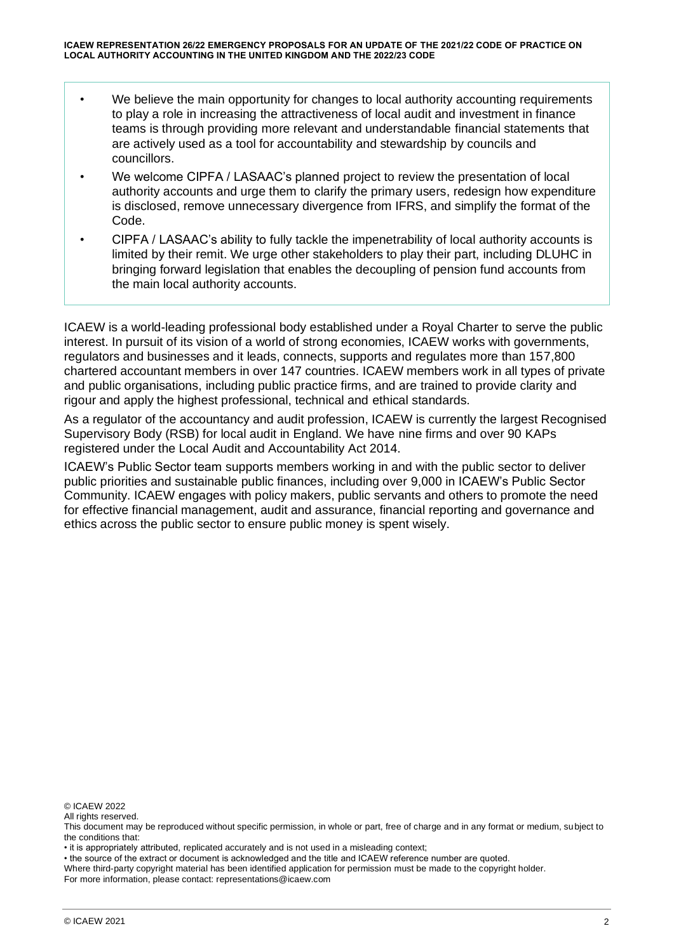- We believe the main opportunity for changes to local authority accounting requirements to play a role in increasing the attractiveness of local audit and investment in finance teams is through providing more relevant and understandable financial statements that are actively used as a tool for accountability and stewardship by councils and councillors.
- We welcome CIPFA / LASAAC's planned project to review the presentation of local authority accounts and urge them to clarify the primary users, redesign how expenditure is disclosed, remove unnecessary divergence from IFRS, and simplify the format of the Code.
- CIPFA / LASAAC's ability to fully tackle the impenetrability of local authority accounts is limited by their remit. We urge other stakeholders to play their part, including DLUHC in bringing forward legislation that enables the decoupling of pension fund accounts from the main local authority accounts.

ICAEW is a world-leading professional body established under a Royal Charter to serve the public interest. In pursuit of its vision of a world of strong economies, ICAEW works with governments, regulators and businesses and it leads, connects, supports and regulates more than 157,800 chartered accountant members in over 147 countries. ICAEW members work in all types of private and public organisations, including public practice firms, and are trained to provide clarity and rigour and apply the highest professional, technical and ethical standards.

As a regulator of the accountancy and audit profession, ICAEW is currently the largest Recognised Supervisory Body (RSB) for local audit in England. We have nine firms and over 90 KAPs registered under the Local Audit and Accountability Act 2014.

ICAEW's Public Sector team supports members working in and with the public sector to deliver public priorities and sustainable public finances, including over 9,000 in ICAEW's Public Sector Community. ICAEW engages with policy makers, public servants and others to promote the need for effective financial management, audit and assurance, financial reporting and governance and ethics across the public sector to ensure public money is spent wisely.

© ICAEW 2022

All rights reserved.

• it is appropriately attributed, replicated accurately and is not used in a misleading context;

• the source of the extract or document is acknowledged and the title and ICAEW reference number are quoted.

Where third-party copyright material has been identified application for permission must be made to the copyright holder. For more information, please contact: representations@icaew.com

This document may be reproduced without specific permission, in whole or part, free of charge and in any format or medium, subject to the conditions that: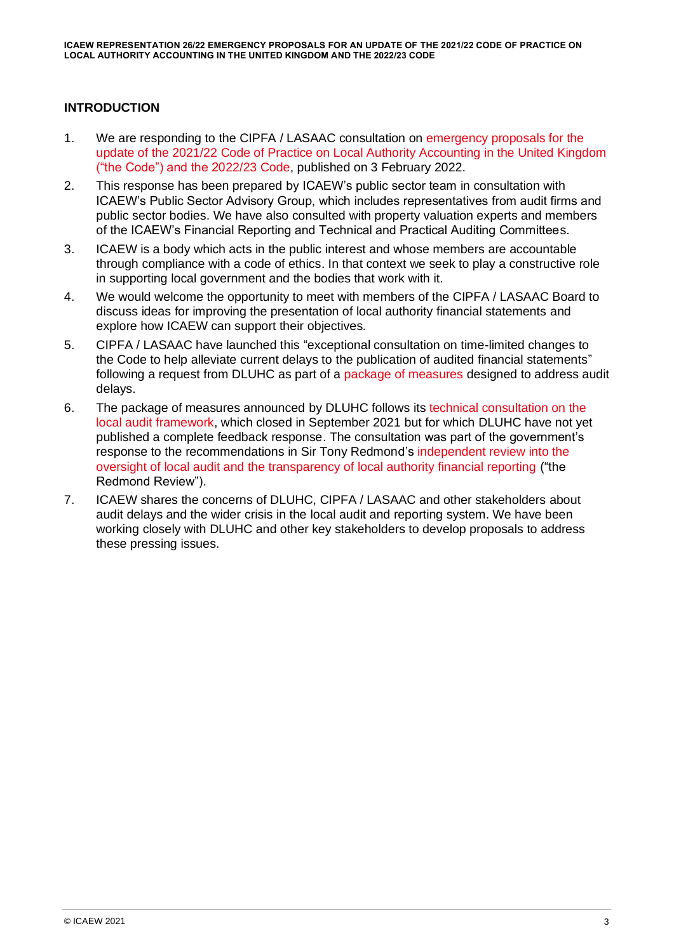# **INTRODUCTION**

- 1. We are responding to the CIPFA / LASAAC consultation on [emergency proposals for the](https://www.cipfa.org/policy-and-guidance/consultations/emergency-proposals-for-update-of-202122-and-2022223-codes)  [update of the 2021/22 Code of Practice on Local Authority Accounting in the United Kingdom](https://www.cipfa.org/policy-and-guidance/consultations/emergency-proposals-for-update-of-202122-and-2022223-codes)  [\("the Code"\) and the 2022/23 Code,](https://www.cipfa.org/policy-and-guidance/consultations/emergency-proposals-for-update-of-202122-and-2022223-codes) published on 3 February 2022.
- 2. This response has been prepared by ICAEW's public sector team in consultation with ICAEW's Public Sector Advisory Group, which includes representatives from audit firms and public sector bodies. We have also consulted with property valuation experts and members of the ICAEW's Financial Reporting and Technical and Practical Auditing Committees.
- 3. ICAEW is a body which acts in the public interest and whose members are accountable through compliance with a code of ethics. In that context we seek to play a constructive role in supporting local government and the bodies that work with it.
- 4. We would welcome the opportunity to meet with members of the CIPFA / LASAAC Board to discuss ideas for improving the presentation of local authority financial statements and explore how ICAEW can support their objectives.
- 5. CIPFA / LASAAC have launched this "exceptional consultation on time-limited changes to the Code to help alleviate current delays to the publication of audited financial statements" following a request from DLUHC as part of a [package of measures](https://www.gov.uk/guidance/measures-to-improve-local-audit-delays#section-3-proposed-measures-relating-to-accounting-and-audit-requirements) designed to address audit delays.
- 6. The package of measures announced by DLUHC follows its [technical consultation on the](https://www.gov.uk/government/consultations/local-audit-framework-technical-consultation/local-audit-framework-technical-consultation)  [local audit framework,](https://www.gov.uk/government/consultations/local-audit-framework-technical-consultation/local-audit-framework-technical-consultation) which closed in September 2021 but for which DLUHC have not yet published a complete feedback response. The consultation was part of the government's response to the recommendations in Sir Tony Redmond's [independent review into the](https://assets.publishing.service.gov.uk/government/uploads/system/uploads/attachment_data/file/916217/Redmond_Review.pdf)  [oversight of local audit and the transparency of local authority financial reporting](https://assets.publishing.service.gov.uk/government/uploads/system/uploads/attachment_data/file/916217/Redmond_Review.pdf) ("the Redmond Review").
- 7. ICAEW shares the concerns of DLUHC, CIPFA / LASAAC and other stakeholders about audit delays and the wider crisis in the local audit and reporting system. We have been working closely with DLUHC and other key stakeholders to develop proposals to address these pressing issues.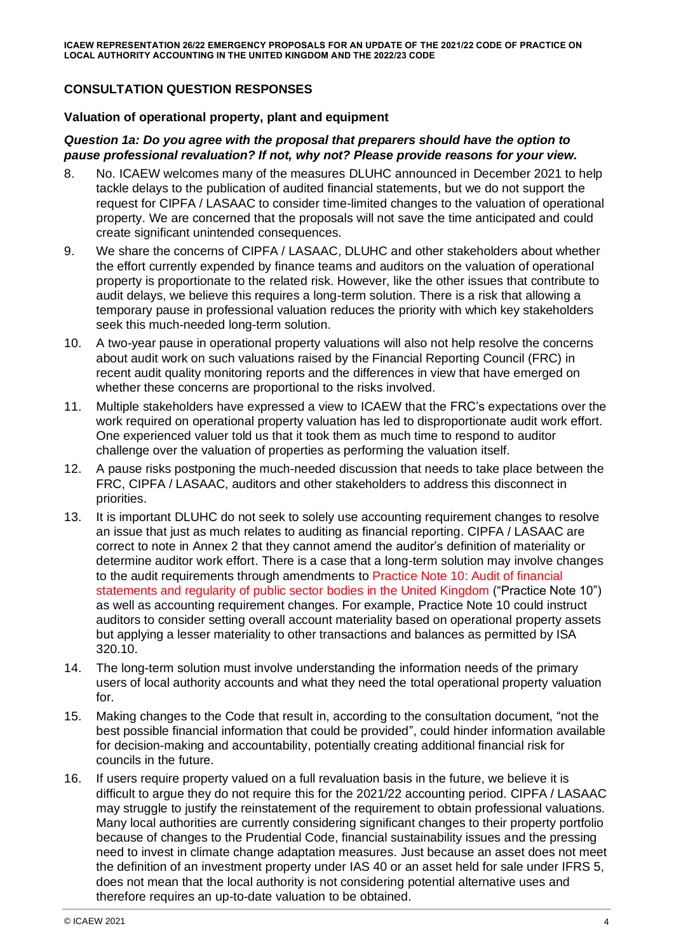# **CONSULTATION QUESTION RESPONSES**

#### **Valuation of operational property, plant and equipment**

### *Question 1a: Do you agree with the proposal that preparers should have the option to pause professional revaluation? If not, why not? Please provide reasons for your view.*

- 8. No. ICAEW welcomes many of the measures DLUHC announced in December 2021 to help tackle delays to the publication of audited financial statements, but we do not support the request for CIPFA / LASAAC to consider time-limited changes to the valuation of operational property. We are concerned that the proposals will not save the time anticipated and could create significant unintended consequences.
- 9. We share the concerns of CIPFA / LASAAC, DLUHC and other stakeholders about whether the effort currently expended by finance teams and auditors on the valuation of operational property is proportionate to the related risk. However, like the other issues that contribute to audit delays, we believe this requires a long-term solution. There is a risk that allowing a temporary pause in professional valuation reduces the priority with which key stakeholders seek this much-needed long-term solution.
- 10. A two-year pause in operational property valuations will also not help resolve the concerns about audit work on such valuations raised by the Financial Reporting Council (FRC) in recent audit quality monitoring reports and the differences in view that have emerged on whether these concerns are proportional to the risks involved.
- 11. Multiple stakeholders have expressed a view to ICAEW that the FRC's expectations over the work required on operational property valuation has led to disproportionate audit work effort. One experienced valuer told us that it took them as much time to respond to auditor challenge over the valuation of properties as performing the valuation itself.
- 12. A pause risks postponing the much-needed discussion that needs to take place between the FRC, CIPFA / LASAAC, auditors and other stakeholders to address this disconnect in priorities.
- 13. It is important DLUHC do not seek to solely use accounting requirement changes to resolve an issue that just as much relates to auditing as financial reporting. CIPFA / LASAAC are correct to note in Annex 2 that they cannot amend the auditor's definition of materiality or determine auditor work effort. There is a case that a long-term solution may involve changes to the audit requirements through amendments to [Practice Note 10: Audit of financial](https://www.public-audit-forum.org.uk/wp-content/uploads/2020/11/Practice-Note-10-Audit-of-Financial-Statements-and-Regularity-of-Public-Sector-Bodies-in-the-United-Kingdom-Revised-2020.pdf)  [statements and regularity of public sector](https://www.public-audit-forum.org.uk/wp-content/uploads/2020/11/Practice-Note-10-Audit-of-Financial-Statements-and-Regularity-of-Public-Sector-Bodies-in-the-United-Kingdom-Revised-2020.pdf) bodies in the United Kingdom ("Practice Note 10") as well as accounting requirement changes. For example, Practice Note 10 could instruct auditors to consider setting overall account materiality based on operational property assets but applying a lesser materiality to other transactions and balances as permitted by ISA 320.10.
- 14. The long-term solution must involve understanding the information needs of the primary users of local authority accounts and what they need the total operational property valuation for.
- 15. Making changes to the Code that result in, according to the consultation document, "not the best possible financial information that could be provided", could hinder information available for decision-making and accountability, potentially creating additional financial risk for councils in the future.
- 16. If users require property valued on a full revaluation basis in the future, we believe it is difficult to argue they do not require this for the 2021/22 accounting period. CIPFA / LASAAC may struggle to justify the reinstatement of the requirement to obtain professional valuations. Many local authorities are currently considering significant changes to their property portfolio because of changes to the Prudential Code, financial sustainability issues and the pressing need to invest in climate change adaptation measures. Just because an asset does not meet the definition of an investment property under IAS 40 or an asset held for sale under IFRS 5, does not mean that the local authority is not considering potential alternative uses and therefore requires an up-to-date valuation to be obtained.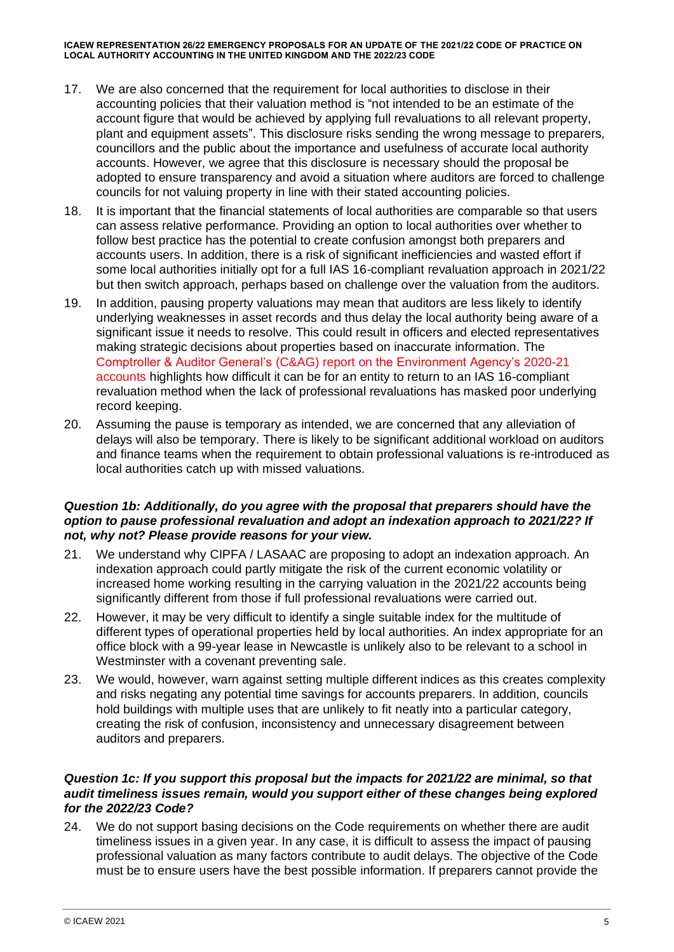- 17. We are also concerned that the requirement for local authorities to disclose in their accounting policies that their valuation method is "not intended to be an estimate of the account figure that would be achieved by applying full revaluations to all relevant property, plant and equipment assets". This disclosure risks sending the wrong message to preparers, councillors and the public about the importance and usefulness of accurate local authority accounts. However, we agree that this disclosure is necessary should the proposal be adopted to ensure transparency and avoid a situation where auditors are forced to challenge councils for not valuing property in line with their stated accounting policies.
- 18. It is important that the financial statements of local authorities are comparable so that users can assess relative performance. Providing an option to local authorities over whether to follow best practice has the potential to create confusion amongst both preparers and accounts users. In addition, there is a risk of significant inefficiencies and wasted effort if some local authorities initially opt for a full IAS 16-compliant revaluation approach in 2021/22 but then switch approach, perhaps based on challenge over the valuation from the auditors.
- 19. In addition, pausing property valuations may mean that auditors are less likely to identify underlying weaknesses in asset records and thus delay the local authority being aware of a significant issue it needs to resolve. This could result in officers and elected representatives making strategic decisions about properties based on inaccurate information. The Comptroller & Auditor General's (C&AG) report on [the Environment Agency's 2020-21](https://assets.publishing.service.gov.uk/government/uploads/system/uploads/attachment_data/file/1036016/EA_Annual_Report_2020.21.pdf)  [accounts](https://assets.publishing.service.gov.uk/government/uploads/system/uploads/attachment_data/file/1036016/EA_Annual_Report_2020.21.pdf) highlights how difficult it can be for an entity to return to an IAS 16-compliant revaluation method when the lack of professional revaluations has masked poor underlying record keeping.
- 20. Assuming the pause is temporary as intended, we are concerned that any alleviation of delays will also be temporary. There is likely to be significant additional workload on auditors and finance teams when the requirement to obtain professional valuations is re-introduced as local authorities catch up with missed valuations.

## *Question 1b: Additionally, do you agree with the proposal that preparers should have the option to pause professional revaluation and adopt an indexation approach to 2021/22? If not, why not? Please provide reasons for your view.*

- 21. We understand why CIPFA / LASAAC are proposing to adopt an indexation approach. An indexation approach could partly mitigate the risk of the current economic volatility or increased home working resulting in the carrying valuation in the 2021/22 accounts being significantly different from those if full professional revaluations were carried out.
- 22. However, it may be very difficult to identify a single suitable index for the multitude of different types of operational properties held by local authorities. An index appropriate for an office block with a 99-year lease in Newcastle is unlikely also to be relevant to a school in Westminster with a covenant preventing sale.
- 23. We would, however, warn against setting multiple different indices as this creates complexity and risks negating any potential time savings for accounts preparers. In addition, councils hold buildings with multiple uses that are unlikely to fit neatly into a particular category, creating the risk of confusion, inconsistency and unnecessary disagreement between auditors and preparers.

## *Question 1c: If you support this proposal but the impacts for 2021/22 are minimal, so that audit timeliness issues remain, would you support either of these changes being explored for the 2022/23 Code?*

24. We do not support basing decisions on the Code requirements on whether there are audit timeliness issues in a given year. In any case, it is difficult to assess the impact of pausing professional valuation as many factors contribute to audit delays. The objective of the Code must be to ensure users have the best possible information. If preparers cannot provide the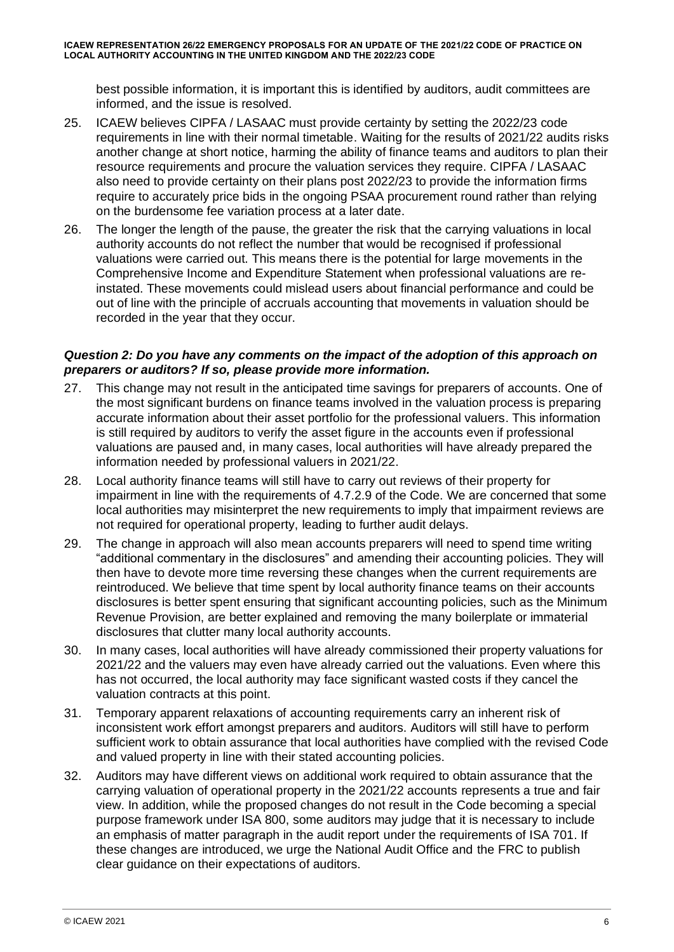best possible information, it is important this is identified by auditors, audit committees are informed, and the issue is resolved.

- 25. ICAEW believes CIPFA / LASAAC must provide certainty by setting the 2022/23 code requirements in line with their normal timetable. Waiting for the results of 2021/22 audits risks another change at short notice, harming the ability of finance teams and auditors to plan their resource requirements and procure the valuation services they require. CIPFA / LASAAC also need to provide certainty on their plans post 2022/23 to provide the information firms require to accurately price bids in the ongoing PSAA procurement round rather than relying on the burdensome fee variation process at a later date.
- 26. The longer the length of the pause, the greater the risk that the carrying valuations in local authority accounts do not reflect the number that would be recognised if professional valuations were carried out. This means there is the potential for large movements in the Comprehensive Income and Expenditure Statement when professional valuations are reinstated. These movements could mislead users about financial performance and could be out of line with the principle of accruals accounting that movements in valuation should be recorded in the year that they occur.

## *Question 2: Do you have any comments on the impact of the adoption of this approach on preparers or auditors? If so, please provide more information.*

- 27. This change may not result in the anticipated time savings for preparers of accounts. One of the most significant burdens on finance teams involved in the valuation process is preparing accurate information about their asset portfolio for the professional valuers. This information is still required by auditors to verify the asset figure in the accounts even if professional valuations are paused and, in many cases, local authorities will have already prepared the information needed by professional valuers in 2021/22.
- 28. Local authority finance teams will still have to carry out reviews of their property for impairment in line with the requirements of 4.7.2.9 of the Code. We are concerned that some local authorities may misinterpret the new requirements to imply that impairment reviews are not required for operational property, leading to further audit delays.
- 29. The change in approach will also mean accounts preparers will need to spend time writing "additional commentary in the disclosures" and amending their accounting policies. They will then have to devote more time reversing these changes when the current requirements are reintroduced. We believe that time spent by local authority finance teams on their accounts disclosures is better spent ensuring that significant accounting policies, such as the Minimum Revenue Provision, are better explained and removing the many boilerplate or immaterial disclosures that clutter many local authority accounts.
- 30. In many cases, local authorities will have already commissioned their property valuations for 2021/22 and the valuers may even have already carried out the valuations. Even where this has not occurred, the local authority may face significant wasted costs if they cancel the valuation contracts at this point.
- 31. Temporary apparent relaxations of accounting requirements carry an inherent risk of inconsistent work effort amongst preparers and auditors. Auditors will still have to perform sufficient work to obtain assurance that local authorities have complied with the revised Code and valued property in line with their stated accounting policies.
- 32. Auditors may have different views on additional work required to obtain assurance that the carrying valuation of operational property in the 2021/22 accounts represents a true and fair view. In addition, while the proposed changes do not result in the Code becoming a special purpose framework under ISA 800, some auditors may judge that it is necessary to include an emphasis of matter paragraph in the audit report under the requirements of ISA 701. If these changes are introduced, we urge the National Audit Office and the FRC to publish clear guidance on their expectations of auditors.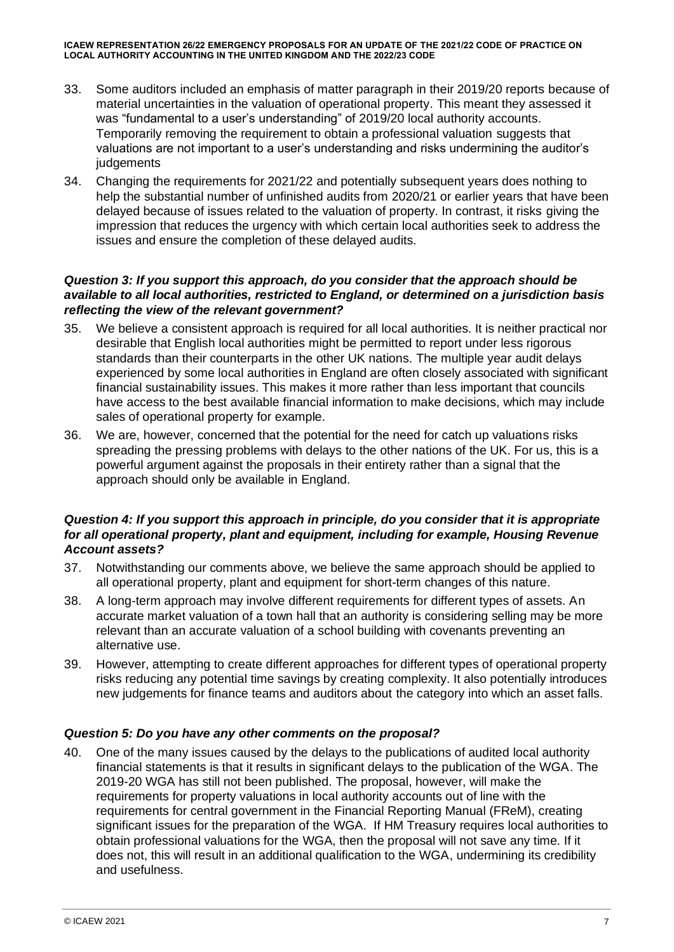- 33. Some auditors included an emphasis of matter paragraph in their 2019/20 reports because of material uncertainties in the valuation of operational property. This meant they assessed it was "fundamental to a user's understanding" of 2019/20 local authority accounts. Temporarily removing the requirement to obtain a professional valuation suggests that valuations are not important to a user's understanding and risks undermining the auditor's iudgements
- 34. Changing the requirements for 2021/22 and potentially subsequent years does nothing to help the substantial number of unfinished audits from 2020/21 or earlier years that have been delayed because of issues related to the valuation of property. In contrast, it risks giving the impression that reduces the urgency with which certain local authorities seek to address the issues and ensure the completion of these delayed audits.

## *Question 3: If you support this approach, do you consider that the approach should be available to all local authorities, restricted to England, or determined on a jurisdiction basis reflecting the view of the relevant government?*

- 35. We believe a consistent approach is required for all local authorities. It is neither practical nor desirable that English local authorities might be permitted to report under less rigorous standards than their counterparts in the other UK nations. The multiple year audit delays experienced by some local authorities in England are often closely associated with significant financial sustainability issues. This makes it more rather than less important that councils have access to the best available financial information to make decisions, which may include sales of operational property for example.
- 36. We are, however, concerned that the potential for the need for catch up valuations risks spreading the pressing problems with delays to the other nations of the UK. For us, this is a powerful argument against the proposals in their entirety rather than a signal that the approach should only be available in England.

# *Question 4: If you support this approach in principle, do you consider that it is appropriate for all operational property, plant and equipment, including for example, Housing Revenue Account assets?*

- 37. Notwithstanding our comments above, we believe the same approach should be applied to all operational property, plant and equipment for short-term changes of this nature.
- 38. A long-term approach may involve different requirements for different types of assets. An accurate market valuation of a town hall that an authority is considering selling may be more relevant than an accurate valuation of a school building with covenants preventing an alternative use.
- 39. However, attempting to create different approaches for different types of operational property risks reducing any potential time savings by creating complexity. It also potentially introduces new judgements for finance teams and auditors about the category into which an asset falls.

# *Question 5: Do you have any other comments on the proposal?*

40. One of the many issues caused by the delays to the publications of audited local authority financial statements is that it results in significant delays to the publication of the WGA. The 2019-20 WGA has still not been published. The proposal, however, will make the requirements for property valuations in local authority accounts out of line with the requirements for central government in the Financial Reporting Manual (FReM), creating significant issues for the preparation of the WGA. If HM Treasury requires local authorities to obtain professional valuations for the WGA, then the proposal will not save any time. If it does not, this will result in an additional qualification to the WGA, undermining its credibility and usefulness.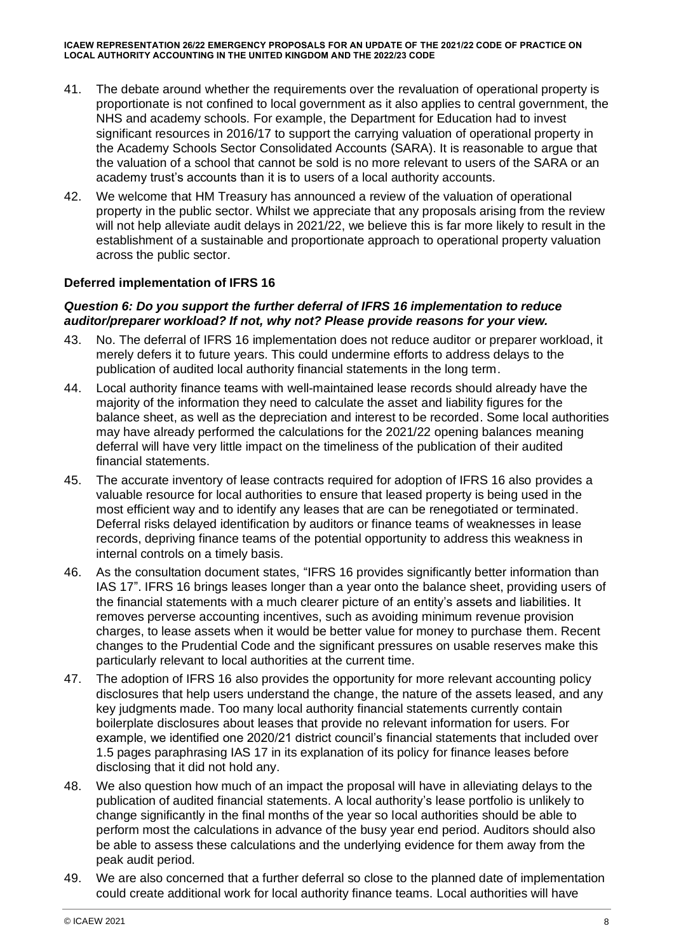- 41. The debate around whether the requirements over the revaluation of operational property is proportionate is not confined to local government as it also applies to central government, the NHS and academy schools. For example, the Department for Education had to invest significant resources in 2016/17 to support the carrying valuation of operational property in the Academy Schools Sector Consolidated Accounts (SARA). It is reasonable to argue that the valuation of a school that cannot be sold is no more relevant to users of the SARA or an academy trust's accounts than it is to users of a local authority accounts.
- 42. We welcome that HM Treasury has announced a review of the valuation of operational property in the public sector. Whilst we appreciate that any proposals arising from the review will not help alleviate audit delays in 2021/22, we believe this is far more likely to result in the establishment of a sustainable and proportionate approach to operational property valuation across the public sector.

# **Deferred implementation of IFRS 16**

## *Question 6: Do you support the further deferral of IFRS 16 implementation to reduce auditor/preparer workload? If not, why not? Please provide reasons for your view.*

- 43. No. The deferral of IFRS 16 implementation does not reduce auditor or preparer workload, it merely defers it to future years. This could undermine efforts to address delays to the publication of audited local authority financial statements in the long term.
- 44. Local authority finance teams with well-maintained lease records should already have the majority of the information they need to calculate the asset and liability figures for the balance sheet, as well as the depreciation and interest to be recorded. Some local authorities may have already performed the calculations for the 2021/22 opening balances meaning deferral will have very little impact on the timeliness of the publication of their audited financial statements.
- 45. The accurate inventory of lease contracts required for adoption of IFRS 16 also provides a valuable resource for local authorities to ensure that leased property is being used in the most efficient way and to identify any leases that are can be renegotiated or terminated. Deferral risks delayed identification by auditors or finance teams of weaknesses in lease records, depriving finance teams of the potential opportunity to address this weakness in internal controls on a timely basis.
- 46. As the consultation document states, "IFRS 16 provides significantly better information than IAS 17". IFRS 16 brings leases longer than a year onto the balance sheet, providing users of the financial statements with a much clearer picture of an entity's assets and liabilities. It removes perverse accounting incentives, such as avoiding minimum revenue provision charges, to lease assets when it would be better value for money to purchase them. Recent changes to the Prudential Code and the significant pressures on usable reserves make this particularly relevant to local authorities at the current time.
- 47. The adoption of IFRS 16 also provides the opportunity for more relevant accounting policy disclosures that help users understand the change, the nature of the assets leased, and any key judgments made. Too many local authority financial statements currently contain boilerplate disclosures about leases that provide no relevant information for users. For example, we identified one 2020/21 district council's financial statements that included over 1.5 pages paraphrasing IAS 17 in its explanation of its policy for finance leases before disclosing that it did not hold any.
- 48. We also question how much of an impact the proposal will have in alleviating delays to the publication of audited financial statements. A local authority's lease portfolio is unlikely to change significantly in the final months of the year so local authorities should be able to perform most the calculations in advance of the busy year end period. Auditors should also be able to assess these calculations and the underlying evidence for them away from the peak audit period.
- 49. We are also concerned that a further deferral so close to the planned date of implementation could create additional work for local authority finance teams. Local authorities will have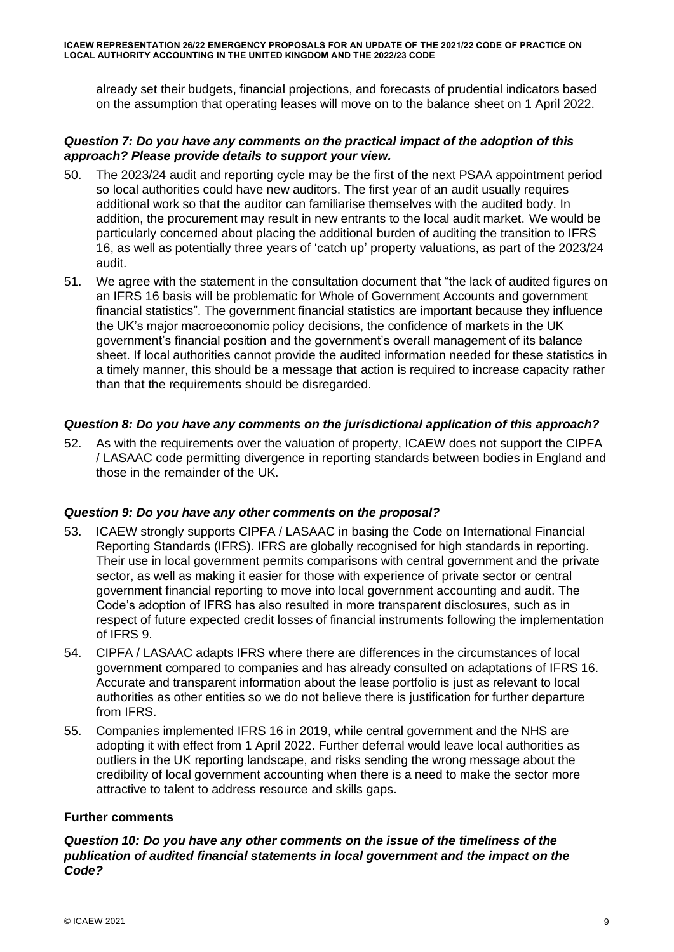already set their budgets, financial projections, and forecasts of prudential indicators based on the assumption that operating leases will move on to the balance sheet on 1 April 2022.

## *Question 7: Do you have any comments on the practical impact of the adoption of this approach? Please provide details to support your view.*

- 50. The 2023/24 audit and reporting cycle may be the first of the next PSAA appointment period so local authorities could have new auditors. The first year of an audit usually requires additional work so that the auditor can familiarise themselves with the audited body. In addition, the procurement may result in new entrants to the local audit market. We would be particularly concerned about placing the additional burden of auditing the transition to IFRS 16, as well as potentially three years of 'catch up' property valuations, as part of the 2023/24 audit.
- 51. We agree with the statement in the consultation document that "the lack of audited figures on an IFRS 16 basis will be problematic for Whole of Government Accounts and government financial statistics". The government financial statistics are important because they influence the UK's major macroeconomic policy decisions, the confidence of markets in the UK government's financial position and the government's overall management of its balance sheet. If local authorities cannot provide the audited information needed for these statistics in a timely manner, this should be a message that action is required to increase capacity rather than that the requirements should be disregarded.

# *Question 8: Do you have any comments on the jurisdictional application of this approach?*

52. As with the requirements over the valuation of property, ICAEW does not support the CIPFA / LASAAC code permitting divergence in reporting standards between bodies in England and those in the remainder of the UK.

## *Question 9: Do you have any other comments on the proposal?*

- 53. ICAEW strongly supports CIPFA / LASAAC in basing the Code on International Financial Reporting Standards (IFRS). IFRS are globally recognised for high standards in reporting. Their use in local government permits comparisons with central government and the private sector, as well as making it easier for those with experience of private sector or central government financial reporting to move into local government accounting and audit. The Code's adoption of IFRS has also resulted in more transparent disclosures, such as in respect of future expected credit losses of financial instruments following the implementation of IFRS 9.
- 54. CIPFA / LASAAC adapts IFRS where there are differences in the circumstances of local government compared to companies and has already consulted on adaptations of IFRS 16. Accurate and transparent information about the lease portfolio is just as relevant to local authorities as other entities so we do not believe there is justification for further departure from IFRS.
- 55. Companies implemented IFRS 16 in 2019, while central government and the NHS are adopting it with effect from 1 April 2022. Further deferral would leave local authorities as outliers in the UK reporting landscape, and risks sending the wrong message about the credibility of local government accounting when there is a need to make the sector more attractive to talent to address resource and skills gaps.

## **Further comments**

*Question 10: Do you have any other comments on the issue of the timeliness of the publication of audited financial statements in local government and the impact on the Code?*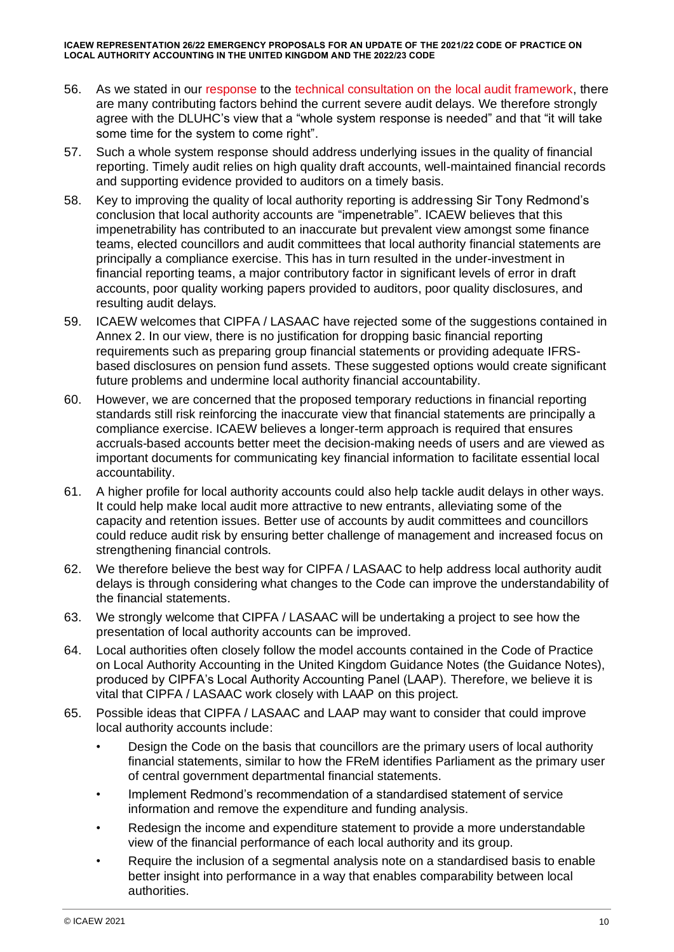- 56. As we stated in our [response](https://www.icaew.com/-/media/corporate/files/technical/icaew-representations/2021/icaew-rep-89-21-mhclg-consultation.ashx) to the [technical consultation on the local audit framework,](https://www.gov.uk/government/consultations/local-audit-framework-technical-consultation/local-audit-framework-technical-consultation) there are many contributing factors behind the current severe audit delays. We therefore strongly agree with the DLUHC's view that a "whole system response is needed" and that "it will take some time for the system to come right".
- 57. Such a whole system response should address underlying issues in the quality of financial reporting. Timely audit relies on high quality draft accounts, well-maintained financial records and supporting evidence provided to auditors on a timely basis.
- 58. Key to improving the quality of local authority reporting is addressing Sir Tony Redmond's conclusion that local authority accounts are "impenetrable". ICAEW believes that this impenetrability has contributed to an inaccurate but prevalent view amongst some finance teams, elected councillors and audit committees that local authority financial statements are principally a compliance exercise. This has in turn resulted in the under-investment in financial reporting teams, a major contributory factor in significant levels of error in draft accounts, poor quality working papers provided to auditors, poor quality disclosures, and resulting audit delays.
- 59. ICAEW welcomes that CIPFA / LASAAC have rejected some of the suggestions contained in Annex 2. In our view, there is no justification for dropping basic financial reporting requirements such as preparing group financial statements or providing adequate IFRSbased disclosures on pension fund assets. These suggested options would create significant future problems and undermine local authority financial accountability.
- 60. However, we are concerned that the proposed temporary reductions in financial reporting standards still risk reinforcing the inaccurate view that financial statements are principally a compliance exercise. ICAEW believes a longer-term approach is required that ensures accruals-based accounts better meet the decision-making needs of users and are viewed as important documents for communicating key financial information to facilitate essential local accountability.
- 61. A higher profile for local authority accounts could also help tackle audit delays in other ways. It could help make local audit more attractive to new entrants, alleviating some of the capacity and retention issues. Better use of accounts by audit committees and councillors could reduce audit risk by ensuring better challenge of management and increased focus on strengthening financial controls.
- 62. We therefore believe the best way for CIPFA / LASAAC to help address local authority audit delays is through considering what changes to the Code can improve the understandability of the financial statements.
- 63. We strongly welcome that CIPFA / LASAAC will be undertaking a project to see how the presentation of local authority accounts can be improved.
- 64. Local authorities often closely follow the model accounts contained in the Code of Practice on Local Authority Accounting in the United Kingdom Guidance Notes (the Guidance Notes), produced by CIPFA's Local Authority Accounting Panel (LAAP). Therefore, we believe it is vital that CIPFA / LASAAC work closely with LAAP on this project.
- 65. Possible ideas that CIPFA / LASAAC and LAAP may want to consider that could improve local authority accounts include:
	- Design the Code on the basis that councillors are the primary users of local authority financial statements, similar to how the FReM identifies Parliament as the primary user of central government departmental financial statements.
	- Implement Redmond's recommendation of a standardised statement of service information and remove the expenditure and funding analysis.
	- Redesign the income and expenditure statement to provide a more understandable view of the financial performance of each local authority and its group.
	- Require the inclusion of a segmental analysis note on a standardised basis to enable better insight into performance in a way that enables comparability between local authorities.